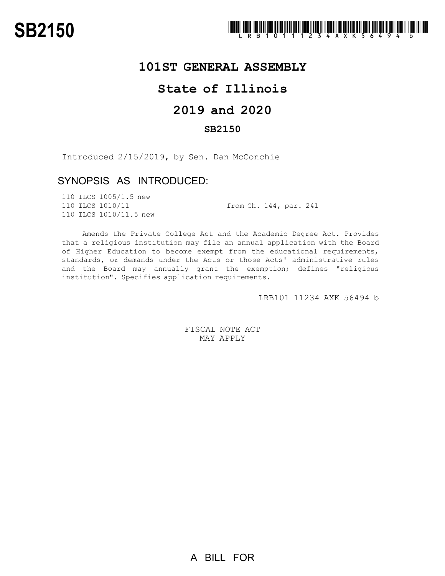

## **101ST GENERAL ASSEMBLY**

# **State of Illinois**

# **2019 and 2020**

#### **SB2150**

Introduced 2/15/2019, by Sen. Dan McConchie

### SYNOPSIS AS INTRODUCED:

110 ILCS 1005/1.5 new 110 ILCS 1010/11 from Ch. 144, par. 241 110 ILCS 1010/11.5 new

Amends the Private College Act and the Academic Degree Act. Provides that a religious institution may file an annual application with the Board of Higher Education to become exempt from the educational requirements, standards, or demands under the Acts or those Acts' administrative rules and the Board may annually grant the exemption; defines "religious institution". Specifies application requirements.

LRB101 11234 AXK 56494 b

FISCAL NOTE ACT MAY APPLY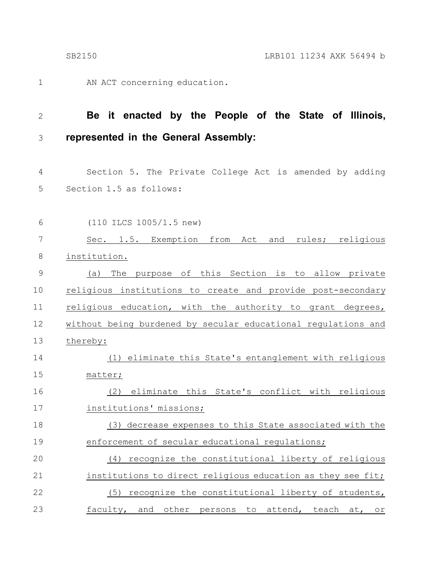1

AN ACT concerning education.

#### **Be it enacted by the People of the State of Illinois, represented in the General Assembly:** 2 3

Section 5. The Private College Act is amended by adding Section 1.5 as follows: 4 5

(110 ILCS 1005/1.5 new) Sec. 1.5. Exemption from Act and rules; religious institution. (a) The purpose of this Section is to allow private religious institutions to create and provide post-secondary religious education, with the authority to grant degrees, without being burdened by secular educational regulations and thereby: (1) eliminate this State's entanglement with religious matter; (2) eliminate this State's conflict with religious institutions' missions; (3) decrease expenses to this State associated with the enforcement of secular educational regulations; 6 7 8 9 10 11 12 13 14 15 16 17 18 19

(4) recognize the constitutional liberty of religious institutions to direct religious education as they see fit; (5) recognize the constitutional liberty of students, faculty, and other persons to attend, teach at, or 20 21 22 23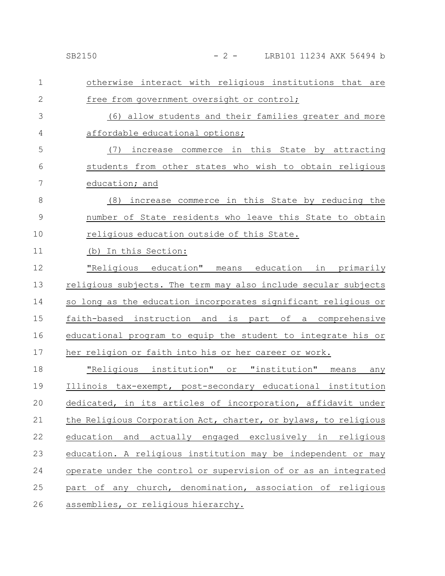## SB2150 - 2 - LRB101 11234 AXK 56494 b

| 1             | otherwise interact with religious institutions that are         |
|---------------|-----------------------------------------------------------------|
| $\mathbf{2}$  | free from government oversight or control;                      |
| 3             | (6) allow students and their families greater and more          |
| 4             | affordable educational options;                                 |
| 5             | increase commerce in this State by attracting<br>(7)            |
| 6             | students from other states who wish to obtain religious         |
| 7             | education; and                                                  |
| 8             | (8) increase commerce in this State by reducing the             |
| $\mathcal{G}$ | number of State residents who leave this State to obtain        |
| 10            | religious education outside of this State.                      |
| 11            | (b) In this Section:                                            |
| 12            | "Religious education" means education in primarily              |
| 13            | religious subjects. The term may also include secular subjects  |
| 14            | so long as the education incorporates significant religious or  |
| 15            | faith-based instruction and is part of a comprehensive          |
| 16            | educational program to equip the student to integrate his or    |
| 17            | her religion or faith into his or her career or work.           |
| 18            | "Religious institution" or "institution" means<br>any           |
| 19            | Illinois tax-exempt, post-secondary educational institution     |
| 20            | dedicated, in its articles of incorporation, affidavit under    |
| 21            | the Religious Corporation Act, charter, or bylaws, to religious |
| 22            | and actually engaged exclusively in religious<br>education      |
| 23            | education. A religious institution may be independent or may    |
| 24            | operate under the control or supervision of or as an integrated |
| 25            | part of any church, denomination, association of religious      |
| 26            | assemblies, or religious hierarchy.                             |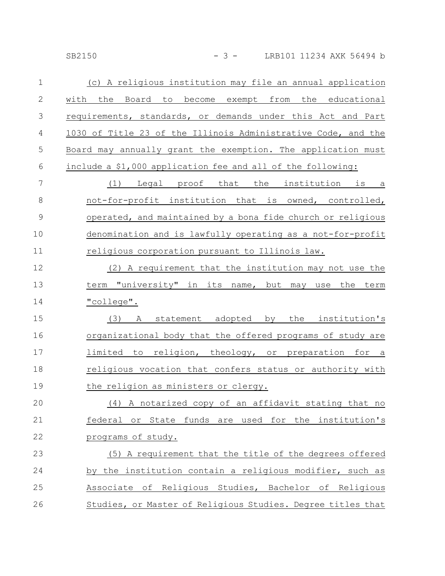SB2150 - 3 - LRB101 11234 AXK 56494 b

| $\mathbf 1$   | (c) A religious institution may file an annual application    |
|---------------|---------------------------------------------------------------|
| $\mathbf{2}$  | to become exempt from the educational<br>with<br>the<br>Board |
| 3             | requirements, standards, or demands under this Act and Part   |
| 4             | 1030 of Title 23 of the Illinois Administrative Code, and the |
| 5             | Board may annually grant the exemption. The application must  |
| 6             | include a \$1,000 application fee and all of the following:   |
| 7             | Legal proof that the institution is a<br>(1)                  |
| 8             | not-for-profit institution that is owned, controlled,         |
| $\mathcal{G}$ | operated, and maintained by a bona fide church or religious   |
| 10            | denomination and is lawfully operating as a not-for-profit    |
| 11            | religious corporation pursuant to Illinois law.               |
| 12            | (2) A requirement that the institution may not use the        |
| 13            | term "university" in its name, but may use the term           |
| 14            | "college".                                                    |
| 15            | (3)<br>statement adopted by<br>the institution's<br>A         |
| 16            | organizational body that the offered programs of study are    |
| 17            | limited to religion, theology, or preparation for a           |
| 18            | religious vocation that confers status or authority with      |
| 19            | the religion as ministers or clergy.                          |
| 20            | (4) A notarized copy of an affidavit stating that no          |
| 21            | federal or State funds are used for the institution's         |
| 22            | programs of study.                                            |
| 23            | (5) A requirement that the title of the degrees offered       |
| 24            | by the institution contain a religious modifier, such as      |
| 25            | Associate of Religious Studies, Bachelor of Religious         |
| 26            | Studies, or Master of Religious Studies. Degree titles that   |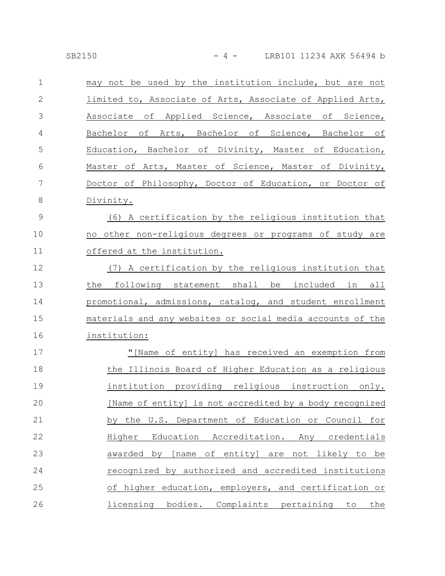| $\mathbf{1}$   | may not be used by the institution include, but are not    |
|----------------|------------------------------------------------------------|
| $\mathbf{2}$   | limited to, Associate of Arts, Associate of Applied Arts,  |
| 3              | Associate of Applied Science, Associate of Science,        |
| 4              | Bachelor of Arts, Bachelor of Science, Bachelor of         |
| 5              | Education, Bachelor of Divinity, Master of Education,      |
| 6              | Master of Arts, Master of Science, Master of Divinity,     |
| $\overline{7}$ | Doctor of Philosophy, Doctor of Education, or Doctor of    |
| $\,8\,$        | Divinity.                                                  |
| $\mathcal{G}$  | (6) A certification by the religious institution that      |
| 10             | no other non-religious degrees or programs of study are    |
| 11             | offered at the institution.                                |
| 12             | (7) A certification by the religious institution that      |
| 13             | the following statement shall be included in all           |
| 14             | promotional, admissions, catalog, and student enrollment   |
| 15             | materials and any websites or social media accounts of the |
| 16             | institution:                                               |
| 17             | "[Name of entity] has received an exemption from           |
| 18             | the Illinois Board of Higher Education as a religious      |
| 19             | institution providing religious instruction only.          |
| 20             | [Name of entity] is not accredited by a body recognized    |
| 21             | by the U.S. Department of Education or Council for         |
| 22             | Higher Education Accreditation. Any credentials            |
| 23             | awarded by [name of entity] are not likely to be           |
| 24             | recognized by authorized and accredited institutions       |
| 25             | of higher education, employers, and certification or       |
| 26             | licensing bodies. Complaints pertaining to the             |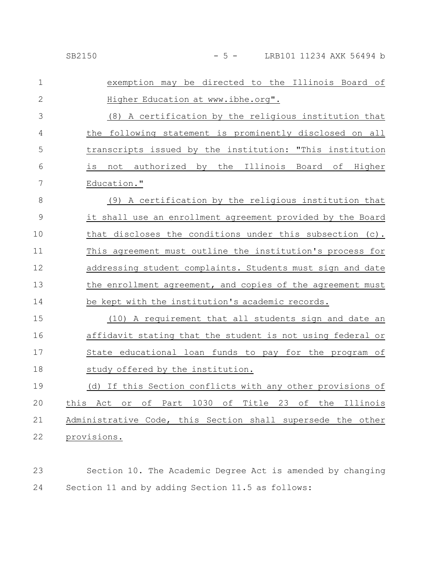| $\mathbf 1$  | exemption may be directed to the Illinois Board of          |
|--------------|-------------------------------------------------------------|
| $\mathbf{2}$ | Higher Education at www.ibhe.org".                          |
| 3            | (8) A certification by the religious institution that       |
| 4            | the following statement is prominently disclosed on all     |
| 5            | transcripts issued by the institution: "This institution    |
| 6            | not authorized by the Illinois Board of Higher<br>is        |
| 7            | Education."                                                 |
| 8            | (9) A certification by the religious institution that       |
| 9            | it shall use an enrollment agreement provided by the Board  |
| 10           | that discloses the conditions under this subsection (c).    |
| 11           | This agreement must outline the institution's process for   |
| 12           | addressing student complaints. Students must sign and date  |
| 13           | the enrollment agreement, and copies of the agreement must  |
| 14           | be kept with the institution's academic records.            |
| 15           | (10) A requirement that all students sign and date an       |
| 16           | affidavit stating that the student is not using federal or  |
| 17           | State educational loan funds to pay for the program of      |
| 18           | study offered by the institution.                           |
| 19           | (d) If this Section conflicts with any other provisions of  |
| 20           | Act or of Part 1030 of Title 23 of the Illinois<br>this     |
| 21           | Administrative Code, this Section shall supersede the other |
| 22           | provisions.                                                 |
|              |                                                             |

Section 10. The Academic Degree Act is amended by changing Section 11 and by adding Section 11.5 as follows: 23 24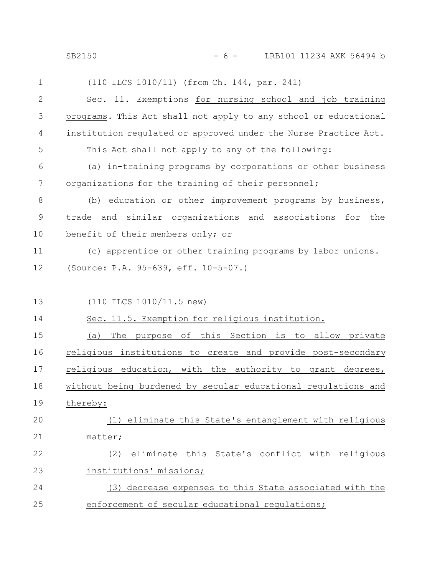SB2150 - 6 - LRB101 11234 AXK 56494 b

| 1            | (110 ILCS 1010/11) (from Ch. 144, par. 241)                     |  |  |
|--------------|-----------------------------------------------------------------|--|--|
| $\mathbf{2}$ | Sec. 11. Exemptions for nursing school and job training         |  |  |
| 3            | programs. This Act shall not apply to any school or educational |  |  |
| 4            | institution regulated or approved under the Nurse Practice Act. |  |  |
| 5            | This Act shall not apply to any of the following:               |  |  |
| 6            | (a) in-training programs by corporations or other business      |  |  |
| 7            | organizations for the training of their personnel;              |  |  |
| 8            | (b) education or other improvement programs by business,        |  |  |
| 9            | and similar organizations and associations for<br>the<br>trade  |  |  |
| 10           | benefit of their members only; or                               |  |  |
| 11           | (c) apprentice or other training programs by labor unions.      |  |  |
| 12           | (Source: P.A. 95-639, eff. 10-5-07.)                            |  |  |
|              |                                                                 |  |  |
| 13           | (110 ILCS 1010/11.5 new)                                        |  |  |
| 14           | Sec. 11.5. Exemption for religious institution.                 |  |  |
| 15           | The purpose of this Section is to allow private<br>(a)          |  |  |
| 16           | religious institutions to create and provide post-secondary     |  |  |
| 17           | religious education, with the authority to grant degrees,       |  |  |
| 18           | without being burdened by secular educational regulations and   |  |  |
| 19           | thereby:                                                        |  |  |
| 20           | (1) eliminate this State's entanglement with religious          |  |  |
| 21           | matter;                                                         |  |  |
| 22           | eliminate this State's conflict with religious<br>(2)           |  |  |
| 23           | institutions' missions;                                         |  |  |
| 24           | (3) decrease expenses to this State associated with the         |  |  |
| 25           | enforcement of secular educational regulations;                 |  |  |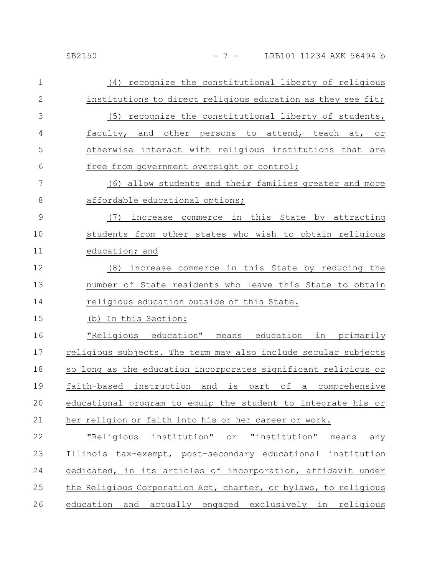#### SB2150 - 7 - LRB101 11234 AXK 56494 b

| $\mathbf 1$   | (4) recognize the constitutional liberty of religious           |
|---------------|-----------------------------------------------------------------|
| $\mathbf{2}$  | institutions to direct religious education as they see fit;     |
| 3             | (5) recognize the constitutional liberty of students,           |
| 4             | faculty, and other persons to attend, teach at, or              |
| 5             | otherwise interact with religious institutions that are         |
| 6             | free from government oversight or control;                      |
| 7             | (6) allow students and their families greater and more          |
| 8             | affordable educational options;                                 |
| $\mathcal{G}$ | (7) increase commerce in this State by attracting               |
| 10            | students from other states who wish to obtain religious         |
| 11            | education; and                                                  |
| 12            | (8) increase commerce in this State by reducing the             |
| 13            | number of State residents who leave this State to obtain        |
| 14            | religious education outside of this State.                      |
| 15            | (b) In this Section:                                            |
| 16            | "Religious education" means education in primarily              |
| 17            | religious subjects. The term may also include secular subjects  |
| 18            | so long as the education incorporates significant religious or  |
| 19            | faith-based instruction and is part of<br>a comprehensive       |
| 20            | educational program to equip the student to integrate his or    |
| 21            | her religion or faith into his or her career or work.           |
| 22            | "Religious institution" or "institution"<br>means<br>any        |
| 23            | Illinois tax-exempt, post-secondary educational institution     |
| 24            | dedicated, in its articles of incorporation, affidavit under    |
| 25            | the Religious Corporation Act, charter, or bylaws, to religious |
| 26            | education and actually engaged exclusively in religious         |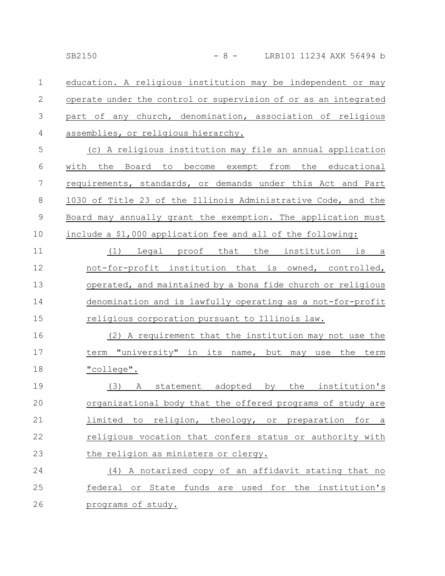education. A religious institution may be independent or may operate under the control or supervision of or as an integrated part of any church, denomination, association of religious assemblies, or religious hierarchy. 1 2 3 4

(c) A religious institution may file an annual application with the Board to become exempt from the educational requirements, standards, or demands under this Act and Part 1030 of Title 23 of the Illinois Administrative Code, and the Board may annually grant the exemption. The application must include a \$1,000 application fee and all of the following: 5 6 7 8 9 10

(1) Legal proof that the institution is a not-for-profit institution that is owned, controlled, operated, and maintained by a bona fide church or religious denomination and is lawfully operating as a not-for-profit religious corporation pursuant to Illinois law. 11 12 13 14 15

(2) A requirement that the institution may not use the term "university" in its name, but may use the term "college". 16 17 18

(3) A statement adopted by the institution's organizational body that the offered programs of study are limited to religion, theology, or preparation for a religious vocation that confers status or authority with the religion as ministers or clergy. 19 20 21 22 23

(4) A notarized copy of an affidavit stating that no federal or State funds are used for the institution's programs of study. 24 25 26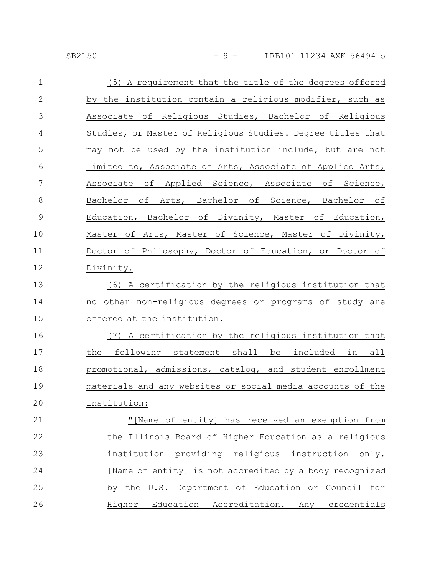#### SB2150 - 9 - LRB101 11234 AXK 56494 b

| $\mathbf 1$  | (5) A requirement that the title of the degrees offered     |
|--------------|-------------------------------------------------------------|
| $\mathbf{2}$ | by the institution contain a religious modifier, such as    |
| 3            | Associate of Religious Studies, Bachelor of Religious       |
| 4            | Studies, or Master of Religious Studies. Degree titles that |
| 5            | may not be used by the institution include, but are not     |
| 6            | limited to, Associate of Arts, Associate of Applied Arts,   |
| 7            | Associate of Applied Science, Associate of Science,         |
| $8\,$        | Bachelor of Arts, Bachelor of Science, Bachelor of          |
| $\mathsf 9$  | Education, Bachelor of Divinity, Master of Education,       |
| 10           | Master of Arts, Master of Science, Master of Divinity,      |
| 11           | Doctor of Philosophy, Doctor of Education, or Doctor of     |
| 12           | Divinity.                                                   |
| 13           | (6) A certification by the religious institution that       |
| 14           | no other non-religious degrees or programs of study are     |
| 15           | offered at the institution.                                 |
| 16           | (7) A certification by the religious institution that       |
| 17           | the following statement shall be included in all            |
| 18           | promotional, admissions, catalog, and student enrollment    |
| 19           | materials and any websites or social media accounts of the  |
| 20           | institution:                                                |
| 21           | "[Name of entity] has received an exemption from            |
| 22           | the Illinois Board of Higher Education as a religious       |
| 23           | institution providing religious instruction only.           |
| 24           | [Name of entity] is not accredited by a body recognized     |
| 25           | by the U.S. Department of Education or Council for          |
| 26           | Higher Education Accreditation. Any credentials             |